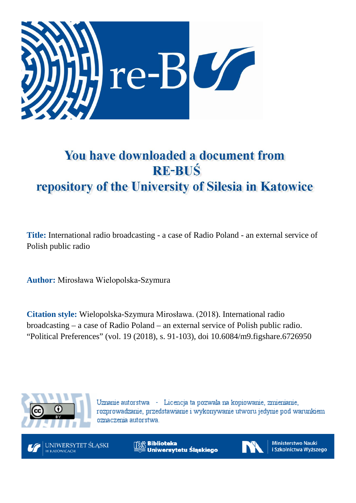

# You have downloaded a document from **RE-BUŚ** repository of the University of Silesia in Katowice

**Title:** International radio broadcasting - a case of Radio Poland - an external service of Polish public radio

**Author:** Mirosława Wielopolska-Szymura

**Citation style:** Wielopolska-Szymura Mirosława. (2018). International radio broadcasting – a case of Radio Poland – an external service of Polish public radio. "Political Preferences" (vol. 19 (2018), s. 91-103), doi 10.6084/m9.figshare.6726950



Uznanie autorstwa - Licencja ta pozwala na kopiowanie, zmienianie, rozprowadzanie, przedstawianie i wykonywanie utworu jedynie pod warunkiem oznaczenia autorstwa.



**Biblioteka** Uniwersytetu Śląskiego



**Ministerstwo Nauki** i Szkolnictwa Wyższego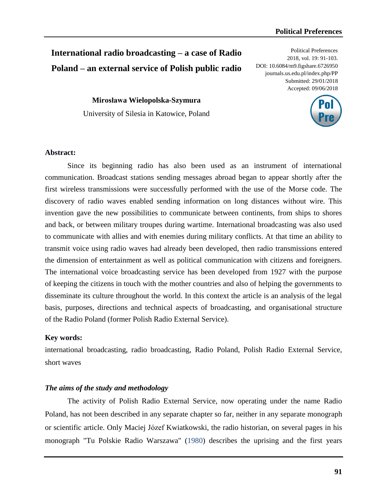# **International radio broadcasting – a case of Radio Poland – an external service of Polish public radio**

Political Preferences 2018, vol. 19: 91-103. DOI: 10.6084/m9.figshare.6726950 journals.us.edu.pl/index.php/PP Submitted: 29/01/2018 Accepted: 09/06/2018

**Mirosława Wielopolska-Szymura** University of Silesia in Katowice, Poland



### **Abstract:**

Since its beginning radio has also been used as an instrument of international communication. Broadcast stations sending messages abroad began to appear shortly after the first wireless transmissions were successfully performed with the use of the Morse code. The discovery of radio waves enabled sending information on long distances without wire. This invention gave the new possibilities to communicate between continents, from ships to shores and back, or between military troupes during wartime. International broadcasting was also used to communicate with allies and with enemies during military conflicts. At that time an ability to transmit voice using radio waves had already been developed, then radio transmissions entered the dimension of entertainment as well as political communication with citizens and foreigners. The international voice broadcasting service has been developed from 1927 with the purpose of keeping the citizens in touch with the mother countries and also of helping the governments to disseminate its culture throughout the world. In this context the article is an analysis of the legal basis, purposes, directions and technical aspects of broadcasting, and organisational structure of the Radio Poland (former Polish Radio External Service).

#### **Key words:**

international broadcasting, radio broadcasting, Radio Poland, Polish Radio External Service, short waves

### *The aims of the study and methodology*

The activity of Polish Radio External Service, now operating under the name Radio Poland, has not been described in any separate chapter so far, neither in any separate monograph or scientific article. Only Maciej Józef Kwiatkowski, the radio historian, on several pages in his monograph "Tu Polskie Radio Warszawa" (1980) describes the uprising and the first years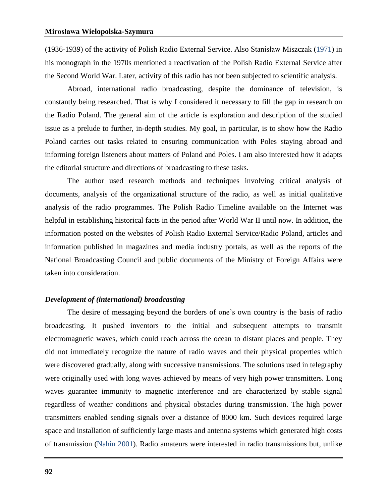(1936-1939) of the activity of Polish Radio External Service. Also Stanisław Miszczak (1971) in his monograph in the 1970s mentioned a reactivation of the Polish Radio External Service after the Second World War. Later, activity of this radio has not been subjected to scientific analysis.

Abroad, international radio broadcasting, despite the dominance of television, is constantly being researched. That is why I considered it necessary to fill the gap in research on the Radio Poland. The general aim of the article is exploration and description of the studied issue as a prelude to further, in-depth studies. My goal, in particular, is to show how the Radio Poland carries out tasks related to ensuring communication with Poles staying abroad and informing foreign listeners about matters of Poland and Poles. I am also interested how it adapts the editorial structure and directions of broadcasting to these tasks.

The author used research methods and techniques involving critical analysis of documents, analysis of the organizational structure of the radio, as well as initial qualitative analysis of the radio programmes. The Polish Radio Timeline available on the Internet was helpful in establishing historical facts in the period after World War II until now. In addition, the information posted on the websites of Polish Radio External Service/Radio Poland, articles and information published in magazines and media industry portals, as well as the reports of the National Broadcasting Council and public documents of the Ministry of Foreign Affairs were taken into consideration.

#### *Development of (international) broadcasting*

The desire of messaging beyond the borders of one's own country is the basis of radio broadcasting. It pushed inventors to the initial and subsequent attempts to transmit electromagnetic waves, which could reach across the ocean to distant places and people. They did not immediately recognize the nature of radio waves and their physical properties which were discovered gradually, along with successive transmissions. The solutions used in telegraphy were originally used with long waves achieved by means of very high power transmitters. Long waves guarantee immunity to magnetic interference and are characterized by stable signal regardless of weather conditions and physical obstacles during transmission. The high power transmitters enabled sending signals over a distance of 8000 km. Such devices required large space and installation of sufficiently large masts and antenna systems which generated high costs of transmission (Nahin 2001). Radio amateurs were interested in radio transmissions but, unlike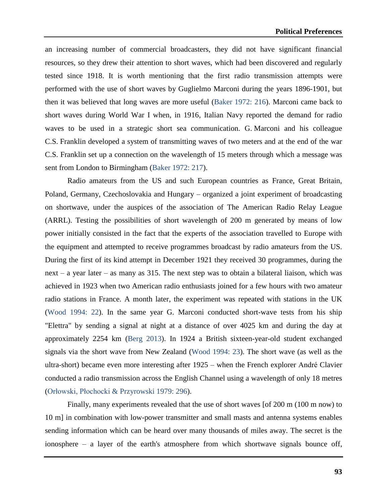an increasing number of commercial broadcasters, they did not have significant financial resources, so they drew their attention to short waves, which had been discovered and regularly tested since 1918. It is worth mentioning that the first radio transmission attempts were performed with the use of short waves by Guglielmo Marconi during the years 1896-1901, but then it was believed that long waves are more useful (Baker 1972: 216). Marconi came back to short waves during World War I when, in 1916, Italian Navy reported the demand for radio waves to be used in a strategic short sea communication. G. Marconi and his colleague C.S. Franklin developed a system of transmitting waves of two meters and at the end of the war C.S. Franklin set up a connection on the wavelength of 15 meters through which a message was sent from London to Birmingham (Baker 1972: 217).

Radio amateurs from the US and such European countries as France, Great Britain, Poland, Germany, Czechoslovakia and Hungary – organized a joint experiment of broadcasting on shortwave, under the auspices of the association of The American Radio Relay League (ARRL). Testing the possibilities of short wavelength of 200 m generated by means of low power initially consisted in the fact that the experts of the association travelled to Europe with the equipment and attempted to receive programmes broadcast by radio amateurs from the US. During the first of its kind attempt in December 1921 they received 30 programmes, during the next – a year later – as many as 315. The next step was to obtain a bilateral liaison, which was achieved in 1923 when two American radio enthusiasts joined for a few hours with two amateur radio stations in France. A month later, the experiment was repeated with stations in the UK (Wood 1994: 22). In the same year G. Marconi conducted short-wave tests from his ship "Elettra" by sending a signal at night at a distance of over 4025 km and during the day at approximately 2254 km (Berg 2013). In 1924 a British sixteen-year-old student exchanged signals via the short wave from New Zealand (Wood 1994: 23). The short wave (as well as the ultra-short) became even more interesting after 1925 – when the French explorer André Clavier conducted a radio transmission across the English Channel using a wavelength of only 18 metres (Orłowski, Płochocki & Przyrowski 1979: 296).

Finally, many experiments revealed that the use of short waves [of 200 m (100 m now) to 10 m] in combination with low-power transmitter and small masts and antenna systems enables sending information which can be heard over many thousands of miles away. The secret is the ionosphere – a layer of the earth's atmosphere from which shortwave signals bounce off,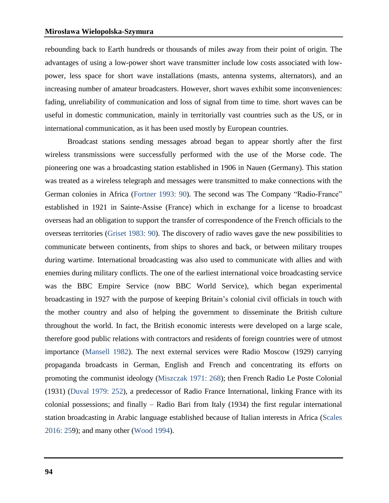rebounding back to Earth hundreds or thousands of miles away from their point of origin. The advantages of using a low-power short wave transmitter include low costs associated with lowpower, less space for short wave installations (masts, antenna systems, alternators), and an increasing number of amateur broadcasters. However, short waves exhibit some inconveniences: fading, unreliability of communication and loss of signal from time to time. short waves can be useful in domestic communication, mainly in territorially vast countries such as the US, or in international communication, as it has been used mostly by European countries.

Broadcast stations sending messages abroad began to appear shortly after the first wireless transmissions were successfully performed with the use of the Morse code. The pioneering one was a broadcasting station established in 1906 in Nauen (Germany). This station was treated as a wireless telegraph and messages were transmitted to make connections with the German colonies in Africa (Fortner 1993: 90). The second was The Company "Radio-France" established in 1921 in Sainte-Assise (France) which in exchange for a license to broadcast overseas had an obligation to support the transfer of correspondence of the French officials to the overseas territories (Griset 1983: 90). The discovery of radio waves gave the new possibilities to communicate between continents, from ships to shores and back, or between military troupes during wartime. International broadcasting was also used to communicate with allies and with enemies during military conflicts. The one of the earliest international voice broadcasting service was the BBC Empire Service (now BBC World Service), which began experimental broadcasting in 1927 with the purpose of keeping Britain's colonial civil officials in touch with the mother country and also of helping the government to disseminate the British culture throughout the world. In fact, the British economic interests were developed on a large scale, therefore good public relations with contractors and residents of foreign countries were of utmost importance (Mansell 1982). The next external services were Radio Moscow (1929) carrying propaganda broadcasts in German, English and French and concentrating its efforts on promoting the communist ideology (Miszczak 1971: 268); then French Radio Le Poste Colonial (1931) (Duval 1979: 252), a predecessor of Radio France International, linking France with its colonial possessions; and finally – Radio Bari from Italy (1934) the first regular international station broadcasting in Arabic language established because of Italian interests in Africa (Scales 2016: 259); and many other (Wood 1994).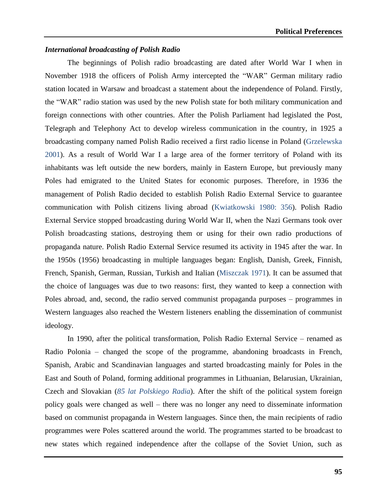#### *International broadcasting of Polish Radio*

The beginnings of Polish radio broadcasting are dated after World War I when in November 1918 the officers of Polish Army intercepted the "WAR" German military radio station located in Warsaw and broadcast a statement about the independence of Poland. Firstly, the "WAR" radio station was used by the new Polish state for both military communication and foreign connections with other countries. After the Polish Parliament had legislated the Post, Telegraph and Telephony Act to develop wireless communication in the country, in 1925 a broadcasting company named Polish Radio received a first radio license in Poland (Grzelewska 2001). As a result of World War I a large area of the former territory of Poland with its inhabitants was left outside the new borders, mainly in Eastern Europe, but previously many Poles had emigrated to the United States for economic purposes. Therefore, in 1936 the management of Polish Radio decided to establish Polish Radio External Service to guarantee communication with Polish citizens living abroad (Kwiatkowski 1980: 356). Polish Radio External Service stopped broadcasting during World War II, when the Nazi Germans took over Polish broadcasting stations, destroying them or using for their own radio productions of propaganda nature. Polish Radio External Service resumed its activity in 1945 after the war. In the 1950s (1956) broadcasting in multiple languages began: English, Danish, Greek, Finnish, French, Spanish, German, Russian, Turkish and Italian (Miszczak 1971). It can be assumed that the choice of languages was due to two reasons: first, they wanted to keep a connection with Poles abroad, and, second, the radio served communist propaganda purposes – programmes in Western languages also reached the Western listeners enabling the dissemination of communist ideology.

In 1990, after the political transformation, Polish Radio External Service – renamed as Radio Polonia – changed the scope of the programme, abandoning broadcasts in French, Spanish, Arabic and Scandinavian languages and started broadcasting mainly for Poles in the East and South of Poland, forming additional programmes in Lithuanian, Belarusian, Ukrainian, Czech and Slovakian (*85 lat Polskiego Radia*). After the shift of the political system foreign policy goals were changed as well – there was no longer any need to disseminate information based on communist propaganda in Western languages. Since then, the main recipients of radio programmes were Poles scattered around the world. The programmes started to be broadcast to new states which regained independence after the collapse of the Soviet Union, such as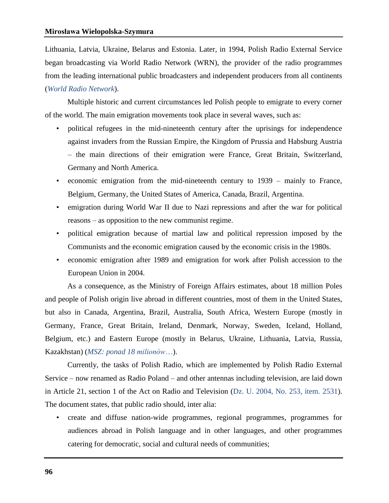Lithuania, Latvia, Ukraine, Belarus and Estonia. Later, in 1994, Polish Radio External Service began broadcasting via World Radio Network (WRN), the provider of the radio programmes from the leading international public broadcasters and independent producers from all continents (*World Radio Network*).

Multiple historic and current circumstances led Polish people to emigrate to every corner of the world. The main emigration movements took place in several waves, such as:

- political refugees in the mid-nineteenth century after the uprisings for independence against invaders from the Russian Empire, the Kingdom of Prussia and Habsburg Austria – the main directions of their emigration were France, Great Britain, Switzerland, Germany and North America.
- economic emigration from the mid-nineteenth century to 1939 mainly to France, Belgium, Germany, the United States of America, Canada, Brazil, Argentina.
- emigration during World War II due to Nazi repressions and after the war for political reasons – as opposition to the new communist regime.
- political emigration because of martial law and political repression imposed by the Communists and the economic emigration caused by the economic crisis in the 1980s.
- economic emigration after 1989 and emigration for work after Polish accession to the European Union in 2004.

As a consequence, as the Ministry of Foreign Affairs estimates, about 18 million Poles and people of Polish origin live abroad in different countries, most of them in the United States, but also in Canada, Argentina, Brazil, Australia, South Africa, Western Europe (mostly in Germany, France, Great Britain, Ireland, Denmark, Norway, Sweden, Iceland, Holland, Belgium, etc.) and Eastern Europe (mostly in Belarus, Ukraine, Lithuania, Latvia, Russia, Kazakhstan) (*MSZ: ponad 18 milionów*…).

Currently, the tasks of Polish Radio, which are implemented by Polish Radio External Service – now renamed as Radio Poland – and other antennas including television, are laid down in Article 21, section 1 of the Act on Radio and Television (Dz. U. 2004, No. 253, item. 2531). The document states, that public radio should, inter alia:

• create and diffuse nation-wide programmes, regional programmes, programmes for audiences abroad in Polish language and in other languages, and other programmes catering for democratic, social and cultural needs of communities;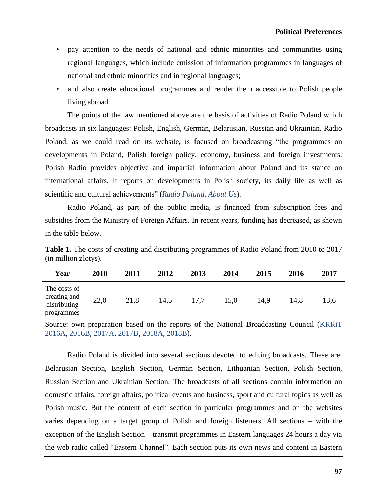- pay attention to the needs of national and ethnic minorities and communities using regional languages, which include emission of information programmes in languages of national and ethnic minorities and in regional languages;
- and also create educational programmes and render them accessible to Polish people living abroad.

The points of the law mentioned above are the basis of activities of Radio Poland which broadcasts in six languages: Polish, English, German, Belarusian, Russian and Ukrainian. Radio Poland, as we could read on its website**,** is focused on broadcasting "the programmes on developments in Poland, Polish foreign policy, economy, business and foreign investments. Polish Radio provides objective and impartial information about Poland and its stance on international affairs. It reports on developments in Polish society, its daily life as well as scientific and cultural achievements" (*Radio Poland, About Us*).

Radio Poland, as part of the public media, is financed from subscription fees and subsidies from the Ministry of Foreign Affairs. In recent years, funding has decreased, as shown in the table below.

**Table 1.** The costs of creating and distributing programmes of Radio Poland from 2010 to 2017 (in million zlotys).

| Year                                                       | 2010 | 2011 | 2012 | 2013 | 2014 | 2015 | 2016 | 2017 |
|------------------------------------------------------------|------|------|------|------|------|------|------|------|
| The costs of<br>creating and<br>distributing<br>programmes | 22,0 | 21,8 | 14,5 | 17,7 | 15,0 | 14,9 | 14,8 | 13,6 |

Source: own preparation based on the reports of the National Broadcasting Council (KRRiT 2016A, 2016B, 2017A, 2017B, 2018A, 2018B).

Radio Poland is divided into several sections devoted to editing broadcasts. These are: Belarusian Section, English Section, German Section, Lithuanian Section, Polish Section, Russian Section and Ukrainian Section. The broadcasts of all sections contain information on domestic affairs, foreign affairs, political events and business, sport and cultural topics as well as Polish music. But the content of each section in particular programmes and on the websites varies depending on a target group of Polish and foreign listeners. All sections – with the exception of the English Section – transmit programmes in Eastern languages 24 hours a day via the web radio called "Eastern Channel". Each section puts its own news and content in Eastern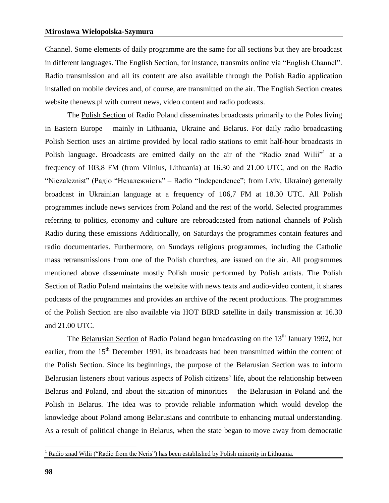Channel. Some elements of daily programme are the same for all sections but they are broadcast in different languages. The English Section, for instance, transmits online via "English Channel". Radio transmission and all its content are also available through the Polish Radio application installed on mobile devices and, of course, are transmitted on the air. The English Section creates website thenews.pl with current news, video content and radio podcasts.

The Polish Section of Radio Poland disseminates broadcasts primarily to the Poles living in Eastern Europe – mainly in Lithuania, Ukraine and Belarus. For daily radio broadcasting Polish Section uses an airtime provided by local radio stations to emit half-hour broadcasts in Polish language. Broadcasts are emitted daily on the air of the "Radio znad Wilii"<sup>1</sup> at a frequency of 103,8 FM (from Vilnius, Lithuania) at 16.30 and 21.00 UTC, and on the Radio "Niezaleznist" (Радіо "Незалежність" – Radio "Independence"; from Lviv, Ukraine) generally broadcast in Ukrainian language at a frequency of 106,7 FM at 18.30 UTC. All Polish programmes include news services from Poland and the rest of the world. Selected programmes referring to politics, economy and culture are rebroadcasted from national channels of Polish Radio during these emissions Additionally, on Saturdays the programmes contain features and radio documentaries. Furthermore, on Sundays religious programmes, including the Catholic mass retransmissions from one of the Polish churches, are issued on the air. All programmes mentioned above disseminate mostly Polish music performed by Polish artists. The Polish Section of Radio Poland maintains the website with news texts and audio-video content, it shares podcasts of the programmes and provides an archive of the recent productions. The programmes of the Polish Section are also available via HOT BIRD satellite in daily transmission at 16.30 and 21.00 UTC.

The Belarusian Section of Radio Poland began broadcasting on the 13<sup>th</sup> January 1992, but earlier, from the 15<sup>th</sup> December 1991, its broadcasts had been transmitted within the content of the Polish Section. Since its beginnings, the purpose of the Belarusian Section was to inform Belarusian listeners about various aspects of Polish citizens' life, about the relationship between Belarus and Poland, and about the situation of minorities – the Belarusian in Poland and the Polish in Belarus. The idea was to provide reliable information which would develop the knowledge about Poland among Belarusians and contribute to enhancing mutual understanding. As a result of political change in Belarus, when the state began to move away from democratic

 $\overline{a}$ 

<sup>&</sup>lt;sup>1</sup> Radio znad Wilii ("Radio from the Neris") has been established by Polish minority in Lithuania.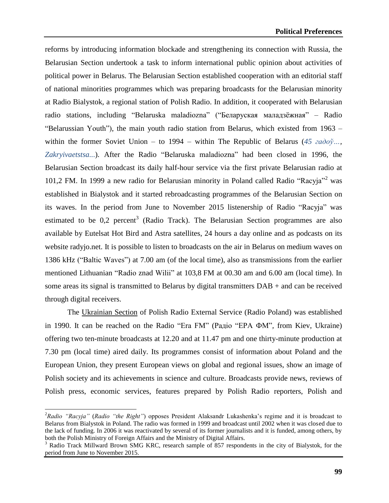reforms by introducing information blockade and strengthening its connection with Russia, the Belarusian Section undertook a task to inform international public opinion about activities of political power in Belarus. The Belarusian Section established cooperation with an editorial staff of national minorities programmes which was preparing broadcasts for the Belarusian minority at Radio Bialystok, a regional station of Polish Radio. In addition, it cooperated with Belarusian radio stations, including "Belaruska maladiozna" ("Беларуская маладзёжная" – Radio "Belarussian Youth"), the main youth radio station from Belarus, which existed from 1963 – within the former Soviet Union – to 1994 – within The Republic of Belarus (*45 гадоў…, Zakryivaetstsa..*.). After the Radio "Belaruska maladiozna" had been closed in 1996, the Belarusian Section broadcast its daily half-hour service via the first private Belarusian radio at 101,2 FM. In 1999 a new radio for Belarusian minority in Poland called Radio "Racyja"<sup>2</sup> was established in Bialystok and it started rebroadcasting programmes of the Belarusian Section on its waves. In the period from June to November 2015 listenership of Radio "Racyja" was estimated to be  $0.2$  percent<sup>3</sup> (Radio Track). The Belarusian Section programmes are also available by Eutelsat Hot Bird and Astra satellites, 24 hours a day online and as podcasts on its website radyjo.net. It is possible to listen to broadcasts on the air in Belarus on medium waves on 1386 kHz ("Baltic Waves") at 7.00 am (of the local time), also as transmissions from the earlier mentioned Lithuanian "Radio znad Wilii" at 103,8 FM at 00.30 am and 6.00 am (local time). In some areas its signal is transmitted to Belarus by digital transmitters DAB + and can be received through digital receivers.

The Ukrainian Section of Polish Radio External Service (Radio Poland) was established in 1990. It can be reached on the Radio "Era FM" (Радіо "ЕРА ФМ"*,* from Kiev, Ukraine) offering two ten-minute broadcasts at 12.20 and at 11.47 pm and one thirty-minute production at 7.30 pm (local time) aired daily. Its programmes consist of information about Poland and the European Union, they present European views on global and regional issues, show an image of Polish society and its achievements in science and culture. Broadcasts provide news, reviews of Polish press, economic services, features prepared by Polish Radio reporters, Polish and

 $\overline{a}$ 

<sup>2</sup>*Radio "Racyja"* (*Radio "the Right"*) opposes President Alaksandr Lukashenka's regime and it is broadcast to Belarus from Bialystok in Poland. The radio was formed in 1999 and broadcast until 2002 when it was closed due to the lack of funding. In 2006 it was reactivated by several of its former journalists and it is funded, among others, by both the Polish Ministry of Foreign Affairs and the Ministry of Digital Affairs.

Radio Track Millward Brown SMG KRC, research sample of 857 respondents in the city of Bialystok, for the period from June to November 2015.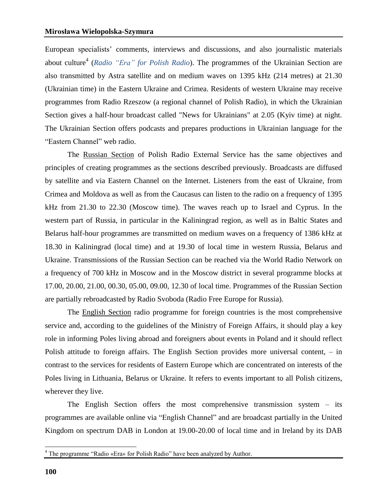European specialists' comments, interviews and discussions, and also journalistic materials about culture<sup>4</sup> (*Radio "Era" for Polish Radio*). The programmes of the Ukrainian Section are also transmitted by Astra satellite and on medium waves on 1395 kHz (214 metres) at 21.30 (Ukrainian time) in the Eastern Ukraine and Crimea. Residents of western Ukraine may receive programmes from Radio Rzeszow (a regional channel of Polish Radio), in which the Ukrainian Section gives a half-hour broadcast called "News for Ukrainians" at 2.05 (Kyiv time) at night. The Ukrainian Section offers podcasts and prepares productions in Ukrainian language for the "Eastern Channel" web radio.

The Russian Section of Polish Radio External Service has the same objectives and principles of creating programmes as the sections described previously. Broadcasts are diffused by satellite and via Eastern Channel on the Internet. Listeners from the east of Ukraine, from Crimea and Moldova as well as from the Caucasus can listen to the radio on a frequency of 1395 kHz from 21.30 to 22.30 (Moscow time). The waves reach up to Israel and Cyprus. In the western part of Russia, in particular in the Kaliningrad region, as well as in Baltic States and Belarus half-hour programmes are transmitted on medium waves on a frequency of 1386 kHz at 18.30 in Kaliningrad (local time) and at 19.30 of local time in western Russia, Belarus and Ukraine. Transmissions of the Russian Section can be reached via the World Radio Network on a frequency of 700 kHz in Moscow and in the Moscow district in several programme blocks at 17.00, 20.00, 21.00, 00.30, 05.00, 09.00, 12.30 of local time. Programmes of the Russian Section are partially rebroadcasted by Radio Svoboda (Radio Free Europe for Russia).

The English Section radio programme for foreign countries is the most comprehensive service and, according to the guidelines of the Ministry of Foreign Affairs, it should play a key role in informing Poles living abroad and foreigners about events in Poland and it should reflect Polish attitude to foreign affairs. The English Section provides more universal content, – in contrast to the services for residents of Eastern Europe which are concentrated on interests of the Poles living in Lithuania, Belarus or Ukraine. It refers to events important to all Polish citizens, wherever they live.

The English Section offers the most comprehensive transmission system – its programmes are available online via "English Channel" and are broadcast partially in the United Kingdom on spectrum DAB in London at 19.00-20.00 of local time and in Ireland by its DAB

 $\overline{a}$ 

<sup>&</sup>lt;sup>4</sup> The programme "Radio «Era» for Polish Radio" have been analyzed by Author.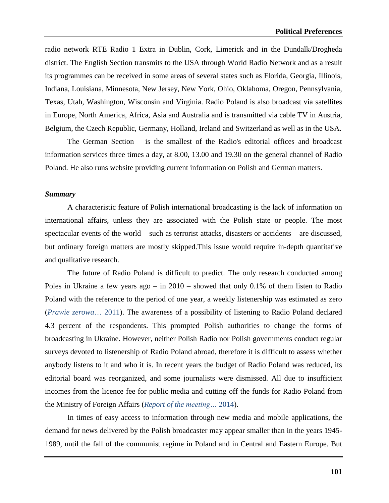radio network RTE Radio 1 Extra in Dublin, Cork, Limerick and in the Dundalk/Drogheda district. The English Section transmits to the USA through World Radio Network and as a result its programmes can be received in some areas of several states such as Florida, Georgia, Illinois, Indiana, Louisiana, Minnesota, New Jersey, New York, Ohio, Oklahoma, Oregon, Pennsylvania, Texas, Utah, Washington, Wisconsin and Virginia. Radio Poland is also broadcast via satellites in Europe, North America, Africa, Asia and Australia and is transmitted via cable TV in Austria, Belgium, the Czech Republic, Germany, Holland, Ireland and Switzerland as well as in the USA.

The German Section – is the smallest of the Radio's editorial offices and broadcast information services three times a day, at 8.00, 13.00 and 19.30 on the general channel of Radio Poland. He also runs website providing current information on Polish and German matters.

#### *Summary*

A characteristic feature of Polish international broadcasting is the lack of information on international affairs, unless they are associated with the Polish state or people. The most spectacular events of the world – such as terrorist attacks, disasters or accidents – are discussed, but ordinary foreign matters are mostly skipped.This issue would require in-depth quantitative and qualitative research.

The future of Radio Poland is difficult to predict. The only research conducted among Poles in Ukraine a few years ago – in  $2010$  – showed that only 0.1% of them listen to Radio Poland with the reference to the period of one year, a weekly listenership was estimated as zero (*Prawie zerowa*… 2011). The awareness of a possibility of listening to Radio Poland declared 4.3 percent of the respondents. This prompted Polish authorities to change the forms of broadcasting in Ukraine. However, neither Polish Radio nor Polish governments conduct regular surveys devoted to listenership of Radio Poland abroad, therefore it is difficult to assess whether anybody listens to it and who it is. In recent years the budget of Radio Poland was reduced, its editorial board was reorganized, and some journalists were dismissed. All due to insufficient incomes from the licence fee for public media and cutting off the funds for Radio Poland from the Ministry of Foreign Affairs (*Report of the meeting…* 2014).

In times of easy access to information through new media and mobile applications, the demand for news delivered by the Polish broadcaster may appear smaller than in the years 1945- 1989, until the fall of the communist regime in Poland and in Central and Eastern Europe. But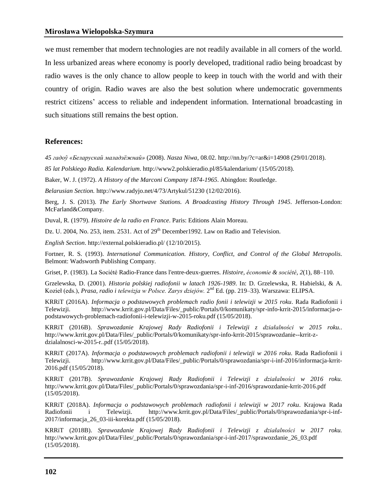we must remember that modern technologies are not readily available in all corners of the world. In less urbanized areas where economy is poorly developed, traditional radio being broadcast by radio waves is the only chance to allow people to keep in touch with the world and with their country of origin. Radio waves are also the best solution where undemocratic governments restrict citizens' access to reliable and independent information. International broadcasting in such situations still remains the best option.

## **References:**

*45 гадоў «Беларускай маладзёжнай»* (2008). *Nasza Niwa*, 08.02. <http://nn.by/?c=ar&i=14908> (29/01/2018).

*85 lat Polskiego Radia. Kalendarium*. <http://www2.polskieradio.pl/85/kalendarium/> (15/05/2018).

Baker, W. J. (1972). *A History of the Marconi Company 1874-1965*. Abingdon: Routledge.

*Belarusian Section.* <http://www.radyjo.net/4/73/Artykul/51230> (12/02/2016).

Berg, J. S. (2013). *The Early Shortwave Stations. A Broadcasting History Through 1945*. Jefferson-London: McFarland&Company.

Duval, R. (1979). *Histoire de la radio en France*. Paris: Editions Alain Moreau.

Dz. U. 2004, No. 253, item. 2531. Act of 29<sup>th</sup> December 1992. Law on Radio and Television.

*English Section*. <http://external.polskieradio.pl/> (12/10/2015).

Fortner, R. S. (1993). *International Communication. History, Conflict, and Control of the Global Metropolis*. Belmont: Wadsworth Publishing Company.

Griset, P. (1983). La Société Radio-France dans l'entre-deux-guerres. *Histoire, économie & société*, *2*(1), 88–110.

Grzelewska, D. (2001). *Historia polskiej radiofonii w latach 1926-1989*. In: D. Grzelewska, R. Habielski, & A. Kozieł (eds.), *Prasa, radio i telewizja w Polsce. Zarys dziejów.* 2<sup>nd</sup> Ed. (pp. 219–33). Warszawa: ELIPSA.

KRRiT (2016A). *Informacja o podstawowych problemach radio fonii i telewizji w 2015 roku*. Rada Radiofonii i Telewizji. [http://www.krrit.gov.pl/Data/Files/\\_public/Portals/0/komunikaty/spr-info-krrit-2015/informacja-o](http://www.krrit.gov.pl/Data/Files/_public/Portals/0/komunikaty/spr-info-krrit-2015/informacja-o-podstawowych-problemach-radiofonii-i-telewizji-w-2015-roku.pdf)[podstawowych-problemach-radiofonii-i-telewizji-w-2015-roku.pdf](http://www.krrit.gov.pl/Data/Files/_public/Portals/0/komunikaty/spr-info-krrit-2015/informacja-o-podstawowych-problemach-radiofonii-i-telewizji-w-2015-roku.pdf) (15/05/2018).

KRRiT (2016B). *Sprawozdanie Krajowej Rady Radiofonii i Telewizji z działalności w 2015 roku.*. [http://www.krrit.gov.pl/Data/Files/\\_public/Portals/0/komunikaty/spr-info-krrit-2015/sprawozdanie--krrit-z](http://www.krrit.gov.pl/Data/Files/_public/Portals/0/komunikaty/spr-info-krrit-2015/sprawozdanie--krrit-z-dzialalnosci-w-2015-r..pdf)[dzialalnosci-w-2015-r..pdf](http://www.krrit.gov.pl/Data/Files/_public/Portals/0/komunikaty/spr-info-krrit-2015/sprawozdanie--krrit-z-dzialalnosci-w-2015-r..pdf) (15/05/2018).

KRRiT (2017A). *Informacja o podstawowych problemach radiofonii i telewizji w 2016 roku*. Rada Radiofonii i Telewizji. [http://www.krrit.gov.pl/Data/Files/\\_public/Portals/0/sprawozdania/spr-i-inf-2016/informacja-krrit-](http://www.krrit.gov.pl/Data/Files/_public/Portals/0/sprawozdania/spr-i-inf-2016/informacja-krrit-2016.pdf)[2016.pdf](http://www.krrit.gov.pl/Data/Files/_public/Portals/0/sprawozdania/spr-i-inf-2016/informacja-krrit-2016.pdf) (15/05/2018).

KRRiT (2017B). *Sprawozdanie Krajowej Rady Radiofonii i Telewizji z działalności w 2016 roku.* [http://www.krrit.gov.pl/Data/Files/\\_public/Portals/0/sprawozdania/spr-i-inf-2016/sprawozdanie-krrit-2016.pdf](http://www.krrit.gov.pl/Data/Files/_public/Portals/0/sprawozdania/spr-i-inf-2016/sprawozdanie-krrit-2016.pdf) (15/05/2018).

KRRiT (2018A). *Informacja o podstawowych problemach radiofonii i telewizji w 2017 roku*. Krajowa Rada Radiofonii i Telewizji. [http://www.krrit.gov.pl/Data/Files/\\_public/Portals/0/sprawozdania/spr-i-inf-](http://www.krrit.gov.pl/Data/Files/_public/Portals/0/sprawozdania/spr-i-inf-2017/informacja_26_03-iii-korekta.pdf)[2017/informacja\\_26\\_03-iii-korekta.pdf](http://www.krrit.gov.pl/Data/Files/_public/Portals/0/sprawozdania/spr-i-inf-2017/informacja_26_03-iii-korekta.pdf) (15/05/2018).

KRRiT (2018B). *Sprawozdanie Krajowej Rady Radiofonii i Telewizji z działalności w 2017 roku.* [http://www.krrit.gov.pl/Data/Files/\\_public/Portals/0/sprawozdania/spr-i-inf-2017/sprawozdanie\\_26\\_03.pdf](http://www.krrit.gov.pl/Data/Files/_public/Portals/0/sprawozdania/spr-i-inf-2017/sprawozdanie_26_03.pdf) (15/05/2018).